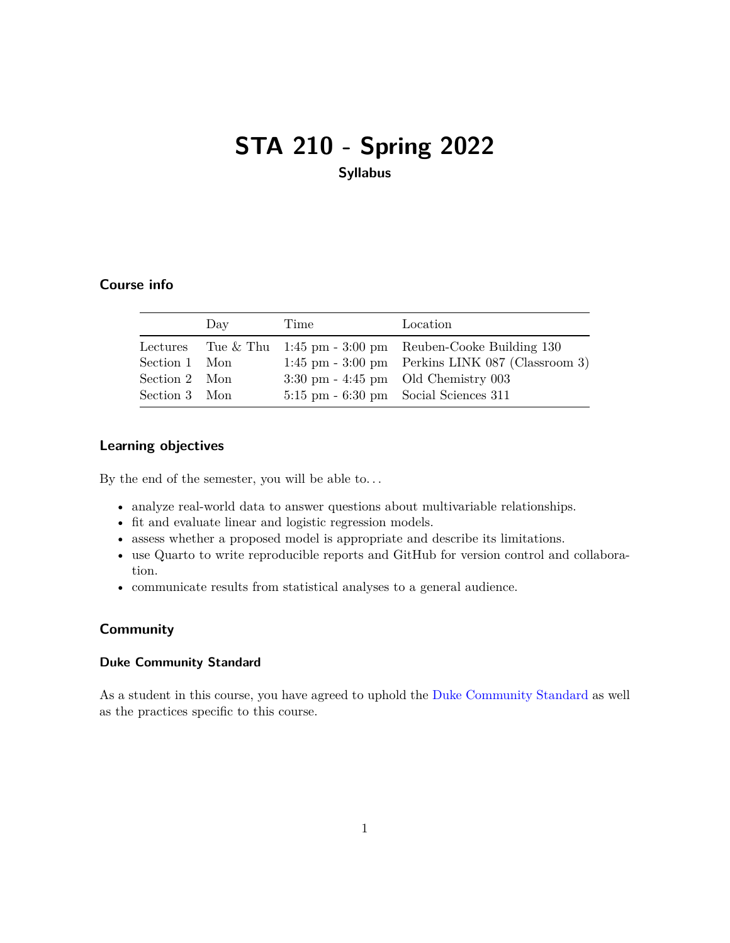# <span id="page-0-0"></span>**STA 210 - Spring 2022 Syllabus**

## **Course info**

|               | Day | Time | Location                                                          |
|---------------|-----|------|-------------------------------------------------------------------|
|               |     |      | Lectures Tue & Thu $1:45$ pm $-3:00$ pm Reuben-Cooke Building 130 |
| Section 1 Mon |     |      | $1:45$ pm $-3:00$ pm Perkins LINK 087 (Classroom 3)               |
| Section 2 Mon |     |      | $3:30 \text{ pm} - 4:45 \text{ pm}$ Old Chemistry 003             |
| Section 3 Mon |     |      | $5:15 \text{ pm} - 6:30 \text{ pm}$ Social Sciences 311           |

## **Learning objectives**

By the end of the semester, you will be able to. . .

- analyze real-world data to answer questions about multivariable relationships.
- fit and evaluate linear and logistic regression models.
- assess whether a proposed model is appropriate and describe its limitations.
- use Quarto to write reproducible reports and GitHub for version control and collaboration.
- communicate results from statistical analyses to a general audience.

## **Community**

#### **Duke Community Standard**

As a student in this course, you have agreed to uphold the [Duke Community Standard](https://studentaffairs.duke.edu/conduct/about-us/duke-community-standard) as well as the practices specific to this course.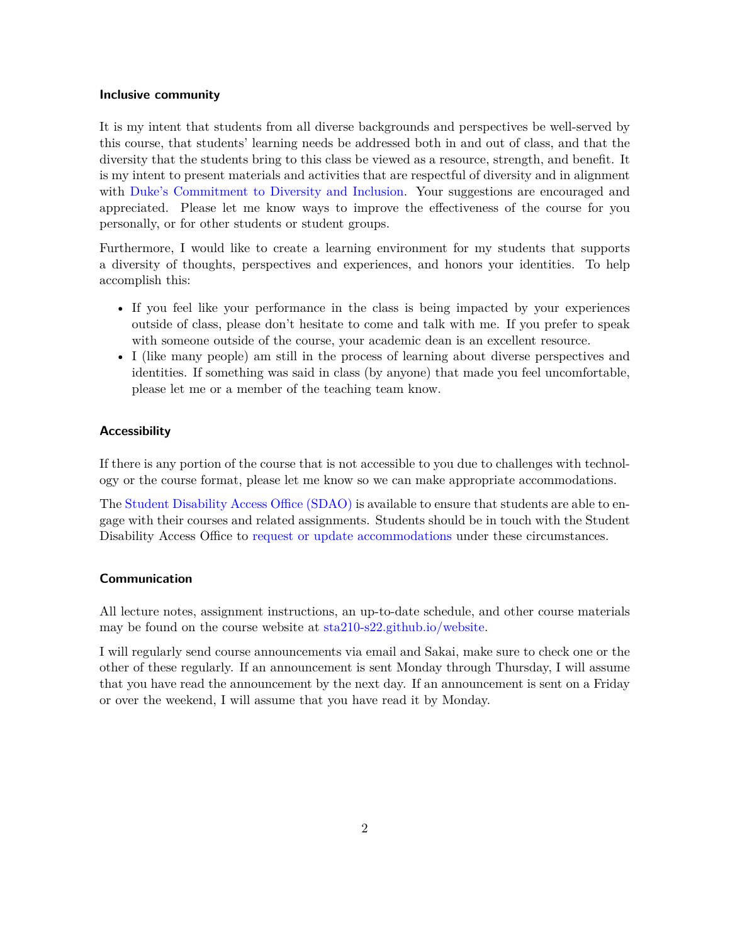#### **Inclusive community**

It is my intent that students from all diverse backgrounds and perspectives be well-served by this course, that students' learning needs be addressed both in and out of class, and that the diversity that the students bring to this class be viewed as a resource, strength, and benefit. It is my intent to present materials and activities that are respectful of diversity and in alignment with [Duke's Commitment to Diversity and Inclusion.](https://provost.duke.edu/initiatives/commitment-to-diversity-and-inclusion) Your suggestions are encouraged and appreciated. Please let me know ways to improve the effectiveness of the course for you personally, or for other students or student groups.

Furthermore, I would like to create a learning environment for my students that supports a diversity of thoughts, perspectives and experiences, and honors your identities. To help accomplish this:

- If you feel like your performance in the class is being impacted by your experiences outside of class, please don't hesitate to come and talk with me. If you prefer to speak with someone outside of the course, your academic dean is an excellent resource.
- I (like many people) am still in the process of learning about diverse perspectives and identities. If something was said in class (by anyone) that made you feel uncomfortable, please let me or a member of the teaching team know.

#### **Accessibility**

If there is any portion of the course that is not accessible to you due to challenges with technology or the course format, please let me know so we can make appropriate accommodations.

The [Student Disability Access Office \(SDAO\)](https://access.duke.edu/students) is available to ensure that students are able to engage with their courses and related assignments. Students should be in touch with the Student Disability Access Office to [request or update accommodations](https://access.duke.edu/requests) under these circumstances.

#### **Communication**

All lecture notes, assignment instructions, an up-to-date schedule, and other course materials may be found on the course website at [sta210-s22.github.io/website.](https://sta210-s22.github.io/website)

I will regularly send course announcements via email and Sakai, make sure to check one or the other of these regularly. If an announcement is sent Monday through Thursday, I will assume that you have read the announcement by the next day. If an announcement is sent on a Friday or over the weekend, I will assume that you have read it by Monday.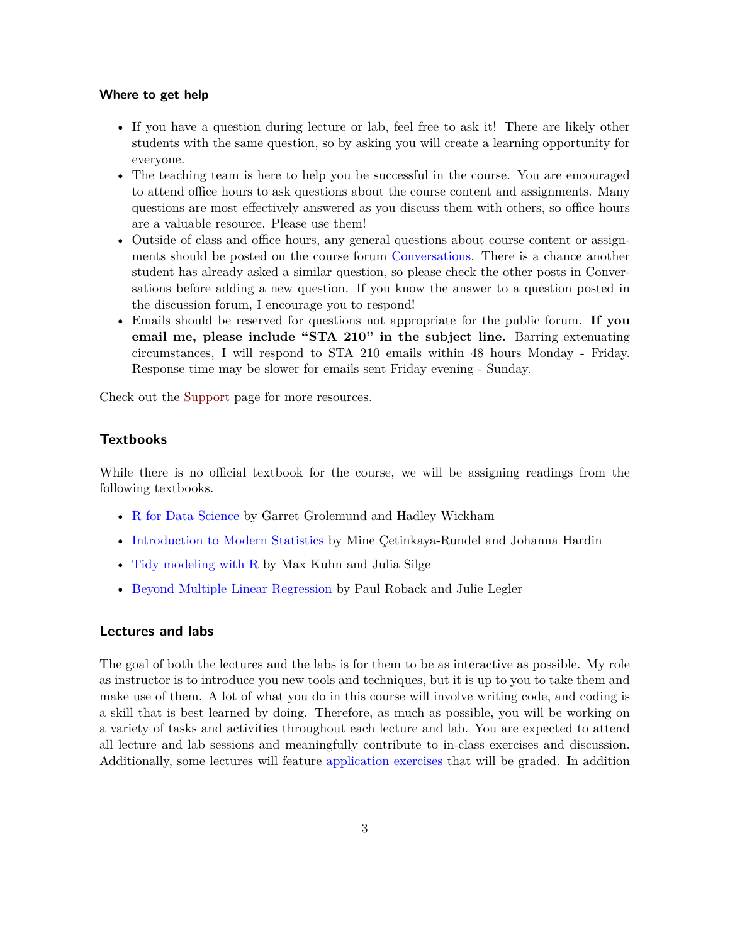#### **Where to get help**

- If you have a question during lecture or lab, feel free to ask it! There are likely other students with the same question, so by asking you will create a learning opportunity for everyone.
- The teaching team is here to help you be successful in the course. You are encouraged to attend office hours to ask questions about the course content and assignments. Many questions are most effectively answered as you discuss them with others, so office hours are a valuable resource. Please use them!
- Outside of class and office hours, any general questions about course content or assignments should be posted on the course forum [Conversations.](https://sakai.duke.edu/portal/site/779c3ebe-3b88-4bcc-bd01-1813e8396a23/tool/13b6446a-a6c6-4222-8cfb-c36d1f70802b) There is a chance another student has already asked a similar question, so please check the other posts in Conversations before adding a new question. If you know the answer to a question posted in the discussion forum, I encourage you to respond!
- Emails should be reserved for questions not appropriate for the public forum. **If you email me, please include "STA 210" in the subject line.** Barring extenuating circumstances, I will respond to STA 210 emails within 48 hours Monday - Friday. Response time may be slower for emails sent Friday evening - Sunday.

Check out the [Support](#page-0-0) page for more resources.

## **Textbooks**

While there is no official textbook for the course, we will be assigning readings from the following textbooks.

- [R for Data Science](https://r4ds.had.co.nz/) by Garret Grolemund and Hadley Wickham
- [Introduction to Modern Statistics](https://openintro-ims.netlify.app/) by Mine Çetinkaya-Rundel and Johanna Hardin
- [Tidy modeling with R](https://www.tmwr.org/) by Max Kuhn and Julia Silge
- [Beyond Multiple Linear Regression](https://bookdown.org/roback/bookdown-BeyondMLR/) by Paul Roback and Julie Legler

## **Lectures and labs**

The goal of both the lectures and the labs is for them to be as interactive as possible. My role as instructor is to introduce you new tools and techniques, but it is up to you to take them and make use of them. A lot of what you do in this course will involve writing code, and coding is a skill that is best learned by doing. Therefore, as much as possible, you will be working on a variety of tasks and activities throughout each lecture and lab. You are expected to attend all lecture and lab sessions and meaningfully contribute to in-class exercises and discussion. Additionally, some lectures will feature [application exercises](#page-3-0) that will be graded. In addition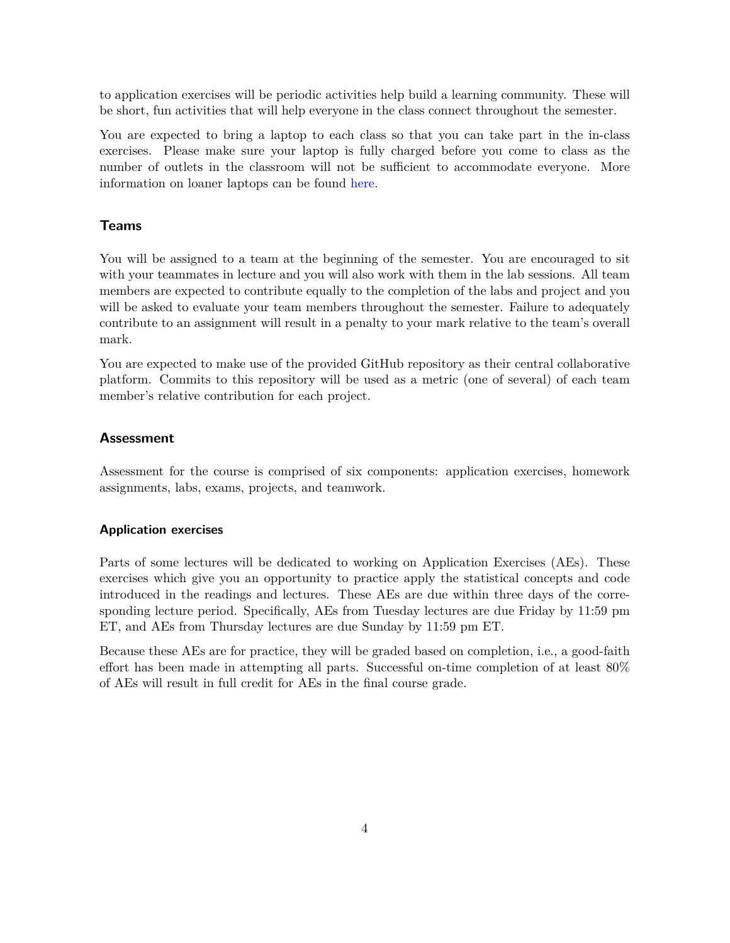to application exercises will be periodic activities help build a learning community. These will be short, fun activities that will help everyone in the class connect throughout the semester.

You are expected to bring a laptop to each class so that you can take part in the in-class exercises. Please make sure your laptop is fully charged before you come to class as the number of outlets in the classroom will not be sufficient to accommodate everyone. More information on loaner laptops can be found [here.](https://keeplearning.duke.edu/technical-support/)

## **Teams**

You will be assigned to a team at the beginning of the semester. You are encouraged to sit with your teammates in lecture and you will also work with them in the lab sessions. All team members are expected to contribute equally to the completion of the labs and project and you will be asked to evaluate your team members throughout the semester. Failure to adequately contribute to an assignment will result in a penalty to your mark relative to the team's overall mark.

You are expected to make use of the provided GitHub repository as their central collaborative platform. Commits to this repository will be used as a metric (one of several) of each team member's relative contribution for each project.

## **Assessment**

<span id="page-3-0"></span>Assessment for the course is comprised of six components: application exercises, homework assignments, labs, exams, projects, and teamwork.

#### **Application exercises**

Parts of some lectures will be dedicated to working on Application Exercises (AEs). These exercises which give you an opportunity to practice apply the statistical concepts and code introduced in the readings and lectures. These AEs are due within three days of the corresponding lecture period. Specifically, AEs from Tuesday lectures are due Friday by 11:59 pm ET, and AEs from Thursday lectures are due Sunday by 11:59 pm ET.

Because these AEs are for practice, they will be graded based on completion, i.e., a good-faith effort has been made in attempting all parts. Successful on-time completion of at least 80% of AEs will result in full credit for AEs in the final course grade.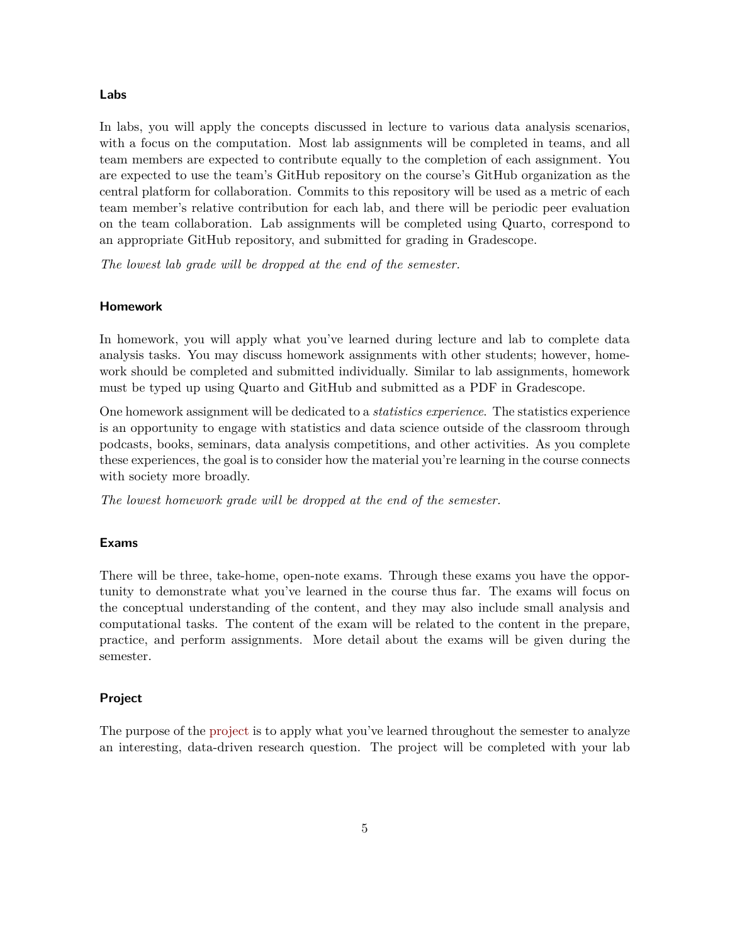#### **Labs**

In labs, you will apply the concepts discussed in lecture to various data analysis scenarios, with a focus on the computation. Most lab assignments will be completed in teams, and all team members are expected to contribute equally to the completion of each assignment. You are expected to use the team's GitHub repository on the course's GitHub organization as the central platform for collaboration. Commits to this repository will be used as a metric of each team member's relative contribution for each lab, and there will be periodic peer evaluation on the team collaboration. Lab assignments will be completed using Quarto, correspond to an appropriate GitHub repository, and submitted for grading in Gradescope.

*The lowest lab grade will be dropped at the end of the semester.*

#### **Homework**

In homework, you will apply what you've learned during lecture and lab to complete data analysis tasks. You may discuss homework assignments with other students; however, homework should be completed and submitted individually. Similar to lab assignments, homework must be typed up using Quarto and GitHub and submitted as a PDF in Gradescope.

One homework assignment will be dedicated to a *statistics experience*. The statistics experience is an opportunity to engage with statistics and data science outside of the classroom through podcasts, books, seminars, data analysis competitions, and other activities. As you complete these experiences, the goal is to consider how the material you're learning in the course connects with society more broadly.

*The lowest homework grade will be dropped at the end of the semester.*

#### **Exams**

There will be three, take-home, open-note exams. Through these exams you have the opportunity to demonstrate what you've learned in the course thus far. The exams will focus on the conceptual understanding of the content, and they may also include small analysis and computational tasks. The content of the exam will be related to the content in the prepare, practice, and perform assignments. More detail about the exams will be given during the semester.

## **Project**

The purpose of the [project](#page-0-0) is to apply what you've learned throughout the semester to analyze an interesting, data-driven research question. The project will be completed with your lab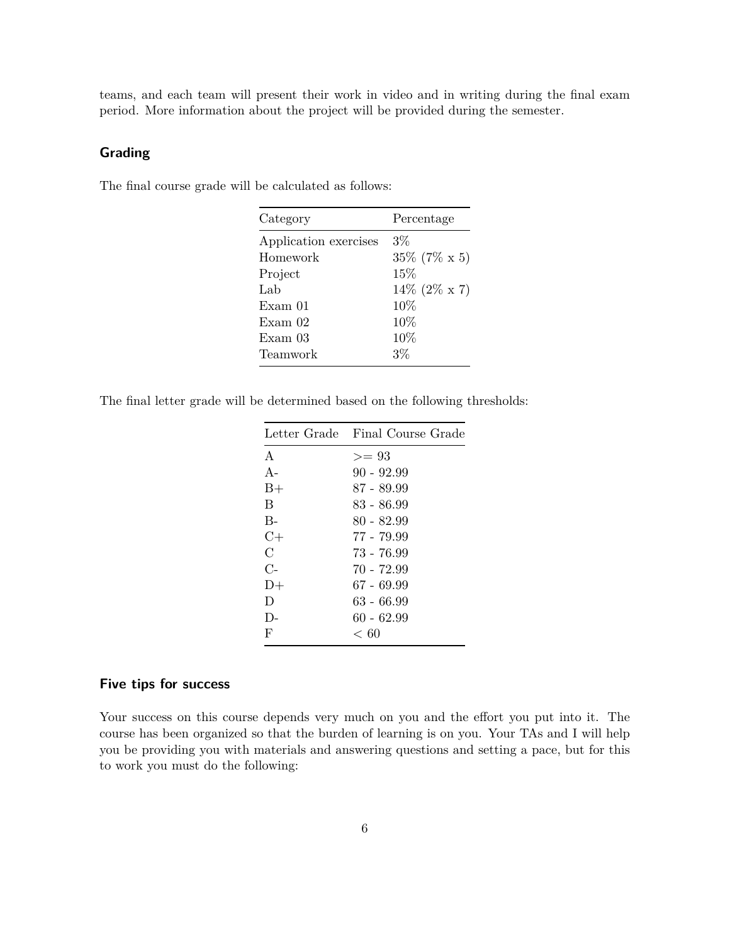teams, and each team will present their work in video and in writing during the final exam period. More information about the project will be provided during the semester.

## **Grading**

The final course grade will be calculated as follows:

| Category              | Percentage       |
|-----------------------|------------------|
| Application exercises | $3\%$            |
| Homework              | $35\%$ (7\% x 5) |
| Project               | 15%              |
| Lab                   | $14\%$ (2\% x 7) |
| Exam 01               | 10%              |
| Exam <sub>02</sub>    | 10%              |
| Exam <sub>03</sub>    | 10%              |
| Teamwork              | 3%               |
|                       |                  |

The final letter grade will be determined based on the following thresholds:

|              | Letter Grade Final Course Grade |
|--------------|---------------------------------|
| $\mathsf{A}$ | $>= 93$                         |
| $A -$        | 90 - 92.99                      |
| $B+$         | 87 - 89.99                      |
| B            | 83 - 86.99                      |
| $B -$        | 80 - 82.99                      |
| $C+$         | 77 - 79.99                      |
| С            | 73 - 76.99                      |
| $C-$         | 70 - 72.99                      |
| $D+$         | 67 - 69.99                      |
| Ð            | 63 - 66.99                      |
| $\Gamma$     | 60 - 62.99                      |
| F            | < 60                            |
|              |                                 |

## **Five tips for success**

Your success on this course depends very much on you and the effort you put into it. The course has been organized so that the burden of learning is on you. Your TAs and I will help you be providing you with materials and answering questions and setting a pace, but for this to work you must do the following: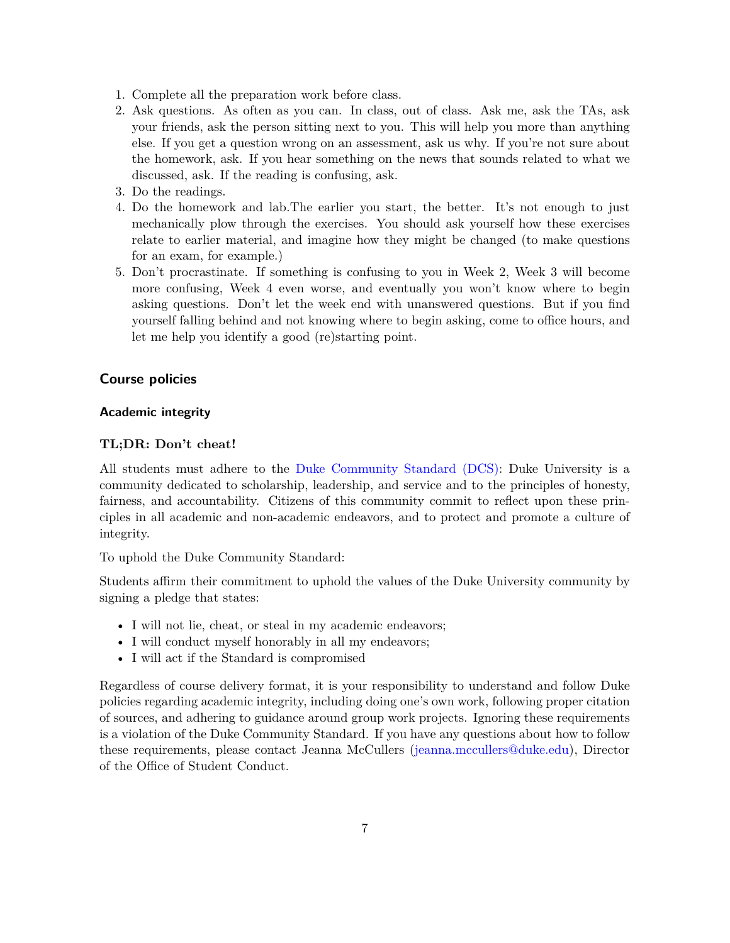- 1. Complete all the preparation work before class.
- 2. Ask questions. As often as you can. In class, out of class. Ask me, ask the TAs, ask your friends, ask the person sitting next to you. This will help you more than anything else. If you get a question wrong on an assessment, ask us why. If you're not sure about the homework, ask. If you hear something on the news that sounds related to what we discussed, ask. If the reading is confusing, ask.
- 3. Do the readings.
- 4. Do the homework and lab.The earlier you start, the better. It's not enough to just mechanically plow through the exercises. You should ask yourself how these exercises relate to earlier material, and imagine how they might be changed (to make questions for an exam, for example.)
- 5. Don't procrastinate. If something is confusing to you in Week 2, Week 3 will become more confusing, Week 4 even worse, and eventually you won't know where to begin asking questions. Don't let the week end with unanswered questions. But if you find yourself falling behind and not knowing where to begin asking, come to office hours, and let me help you identify a good (re)starting point.

## **Course policies**

## **Academic integrity**

#### **TL;DR: Don't cheat!**

All students must adhere to the [Duke Community Standard \(DCS\):](https://trinity.duke.edu/undergraduate/academic-policies/community-standard-student-conduct) Duke University is a community dedicated to scholarship, leadership, and service and to the principles of honesty, fairness, and accountability. Citizens of this community commit to reflect upon these principles in all academic and non-academic endeavors, and to protect and promote a culture of integrity.

To uphold the Duke Community Standard:

Students affirm their commitment to uphold the values of the Duke University community by signing a pledge that states:

- I will not lie, cheat, or steal in my academic endeavors;
- I will conduct myself honorably in all my endeavors;
- I will act if the Standard is compromised

Regardless of course delivery format, it is your responsibility to understand and follow Duke policies regarding academic integrity, including doing one's own work, following proper citation of sources, and adhering to guidance around group work projects. Ignoring these requirements is a violation of the Duke Community Standard. If you have any questions about how to follow these requirements, please contact Jeanna McCullers [\(jeanna.mccullers@duke.edu\)](mailto:jeanna.mccullers@duke.edu), Director of the Office of Student Conduct.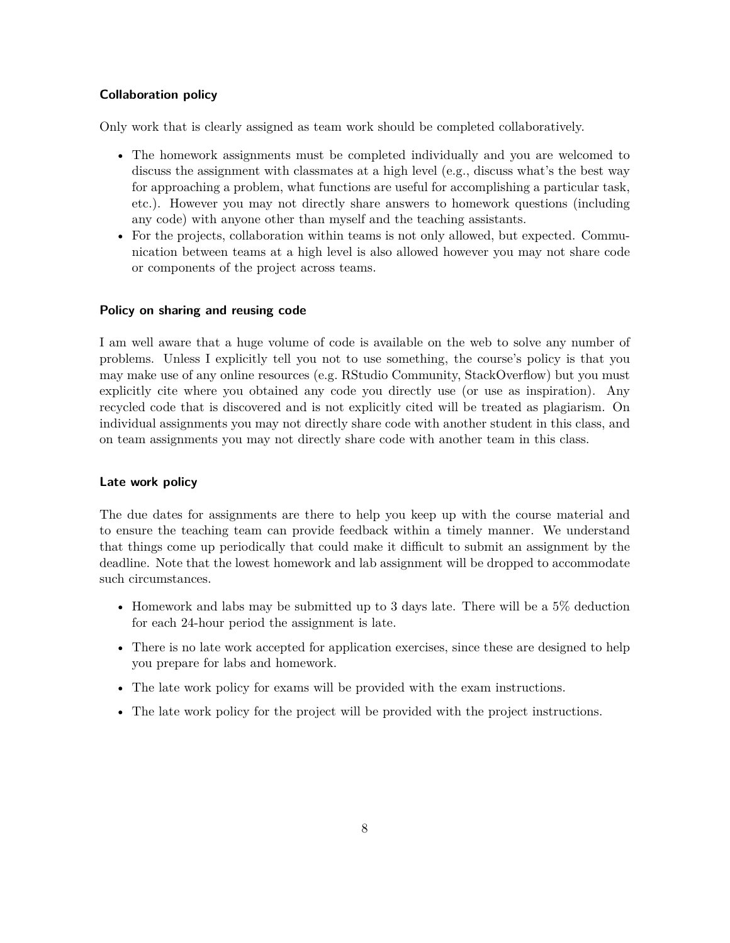## **Collaboration policy**

Only work that is clearly assigned as team work should be completed collaboratively.

- The homework assignments must be completed individually and you are welcomed to discuss the assignment with classmates at a high level (e.g., discuss what's the best way for approaching a problem, what functions are useful for accomplishing a particular task, etc.). However you may not directly share answers to homework questions (including any code) with anyone other than myself and the teaching assistants.
- For the projects, collaboration within teams is not only allowed, but expected. Communication between teams at a high level is also allowed however you may not share code or components of the project across teams.

#### **Policy on sharing and reusing code**

I am well aware that a huge volume of code is available on the web to solve any number of problems. Unless I explicitly tell you not to use something, the course's policy is that you may make use of any online resources (e.g. RStudio Community, StackOverflow) but you must explicitly cite where you obtained any code you directly use (or use as inspiration). Any recycled code that is discovered and is not explicitly cited will be treated as plagiarism. On individual assignments you may not directly share code with another student in this class, and on team assignments you may not directly share code with another team in this class.

#### **Late work policy**

The due dates for assignments are there to help you keep up with the course material and to ensure the teaching team can provide feedback within a timely manner. We understand that things come up periodically that could make it difficult to submit an assignment by the deadline. Note that the lowest homework and lab assignment will be dropped to accommodate such circumstances.

- Homework and labs may be submitted up to 3 days late. There will be a 5% deduction for each 24-hour period the assignment is late.
- There is no late work accepted for application exercises, since these are designed to help you prepare for labs and homework.
- The late work policy for exams will be provided with the exam instructions.
- The late work policy for the project will be provided with the project instructions.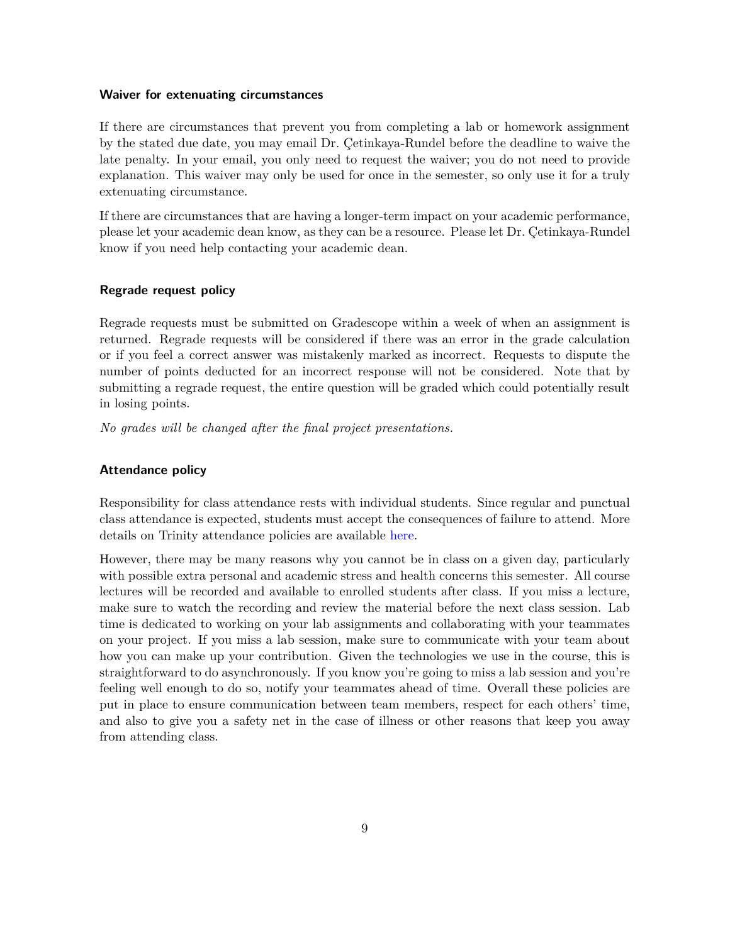#### **Waiver for extenuating circumstances**

If there are circumstances that prevent you from completing a lab or homework assignment by the stated due date, you may email Dr. Çetinkaya-Rundel before the deadline to waive the late penalty. In your email, you only need to request the waiver; you do not need to provide explanation. This waiver may only be used for once in the semester, so only use it for a truly extenuating circumstance.

If there are circumstances that are having a longer-term impact on your academic performance, please let your academic dean know, as they can be a resource. Please let Dr. Çetinkaya-Rundel know if you need help contacting your academic dean.

## **Regrade request policy**

Regrade requests must be submitted on Gradescope within a week of when an assignment is returned. Regrade requests will be considered if there was an error in the grade calculation or if you feel a correct answer was mistakenly marked as incorrect. Requests to dispute the number of points deducted for an incorrect response will not be considered. Note that by submitting a regrade request, the entire question will be graded which could potentially result in losing points.

*No grades will be changed after the final project presentations.*

## **Attendance policy**

Responsibility for class attendance rests with individual students. Since regular and punctual class attendance is expected, students must accept the consequences of failure to attend. More details on Trinity attendance policies are available [here.](https://trinity.duke.edu/undergraduate/academic-policies/class-attendance-and-missed-work)

However, there may be many reasons why you cannot be in class on a given day, particularly with possible extra personal and academic stress and health concerns this semester. All course lectures will be recorded and available to enrolled students after class. If you miss a lecture, make sure to watch the recording and review the material before the next class session. Lab time is dedicated to working on your lab assignments and collaborating with your teammates on your project. If you miss a lab session, make sure to communicate with your team about how you can make up your contribution. Given the technologies we use in the course, this is straightforward to do asynchronously. If you know you're going to miss a lab session and you're feeling well enough to do so, notify your teammates ahead of time. Overall these policies are put in place to ensure communication between team members, respect for each others' time, and also to give you a safety net in the case of illness or other reasons that keep you away from attending class.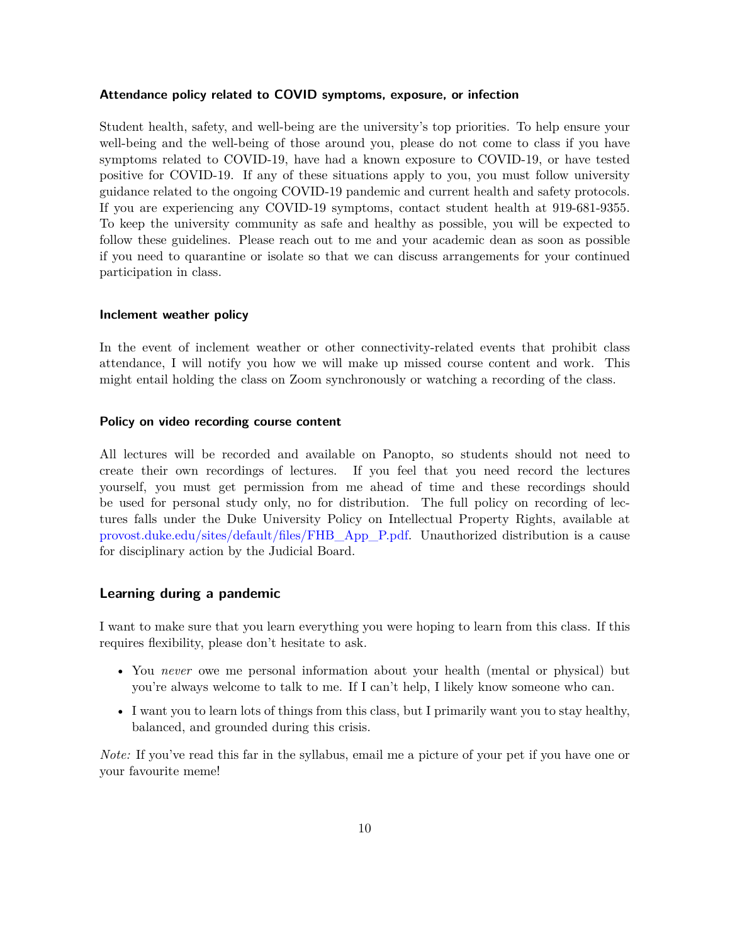#### **Attendance policy related to COVID symptoms, exposure, or infection**

Student health, safety, and well-being are the university's top priorities. To help ensure your well-being and the well-being of those around you, please do not come to class if you have symptoms related to COVID-19, have had a known exposure to COVID-19, or have tested positive for COVID-19. If any of these situations apply to you, you must follow university guidance related to the ongoing COVID-19 pandemic and current health and safety protocols. If you are experiencing any COVID-19 symptoms, contact student health at 919-681-9355. To keep the university community as safe and healthy as possible, you will be expected to follow these guidelines. Please reach out to me and your academic dean as soon as possible if you need to quarantine or isolate so that we can discuss arrangements for your continued participation in class.

#### **Inclement weather policy**

In the event of inclement weather or other connectivity-related events that prohibit class attendance, I will notify you how we will make up missed course content and work. This might entail holding the class on Zoom synchronously or watching a recording of the class.

## **Policy on video recording course content**

All lectures will be recorded and available on Panopto, so students should not need to create their own recordings of lectures. If you feel that you need record the lectures yourself, you must get permission from me ahead of time and these recordings should be used for personal study only, no for distribution. The full policy on recording of lectures falls under the Duke University Policy on Intellectual Property Rights, available at [provost.duke.edu/sites/default/files/FHB\\_App\\_P.pdf.](https://provost.duke.edu/sites/default/files/FHB_App_P.pdf) Unauthorized distribution is a cause for disciplinary action by the Judicial Board.

## **Learning during a pandemic**

I want to make sure that you learn everything you were hoping to learn from this class. If this requires flexibility, please don't hesitate to ask.

- You *never* owe me personal information about your health (mental or physical) but you're always welcome to talk to me. If I can't help, I likely know someone who can.
- I want you to learn lots of things from this class, but I primarily want you to stay healthy, balanced, and grounded during this crisis.

*Note:* If you've read this far in the syllabus, email me a picture of your pet if you have one or your favourite meme!